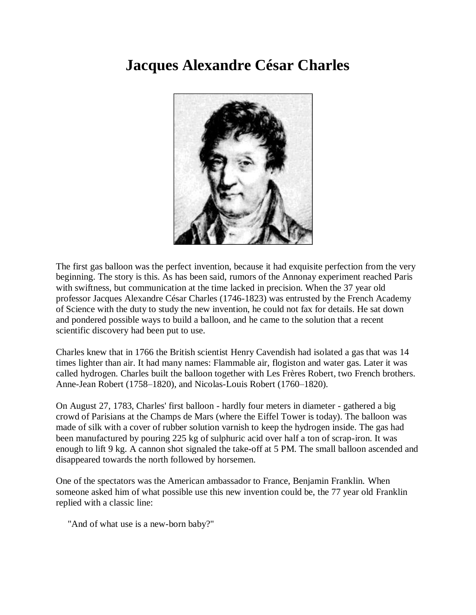## **Jacques Alexandre César Charles**



The first gas balloon was the perfect invention, because it had exquisite perfection from the very beginning. The story is this. As has been said, rumors of the Annonay experiment reached Paris with swiftness, but communication at the time lacked in precision. When the 37 year old professor Jacques Alexandre César Charles (1746-1823) was entrusted by the French Academy of Science with the duty to study the new invention, he could not fax for details. He sat down and pondered possible ways to build a balloon, and he came to the solution that a recent scientific discovery had been put to use.

Charles knew that in 1766 the British scientist Henry Cavendish had isolated a gas that was 14 times lighter than air. It had many names: Flammable air, flogiston and water gas. Later it was called hydrogen. Charles built the balloon together with Les Frères Robert, two French brothers. Anne-Jean Robert (1758–1820), and Nicolas-Louis Robert (1760–1820).

On August 27, 1783, Charles' first balloon - hardly four meters in diameter - gathered a big crowd of Parisians at the Champs de Mars (where the Eiffel Tower is today). The balloon was made of silk with a cover of rubber solution varnish to keep the hydrogen inside. The gas had been manufactured by pouring 225 kg of sulphuric acid over half a ton of scrap-iron. It was enough to lift 9 kg. A cannon shot signaled the take-off at 5 PM. The small balloon ascended and disappeared towards the north followed by horsemen.

One of the spectators was the American ambassador to France, Benjamin Franklin. When someone asked him of what possible use this new invention could be, the 77 year old Franklin replied with a classic line:

"And of what use is a new-born baby?"